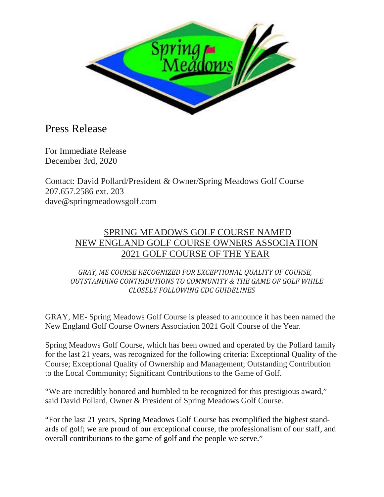

## Press Release

For Immediate Release December 3rd, 2020

Contact: David Pollard/President & Owner/Spring Meadows Golf Course 207.657.2586 ext. 203 dave@springmeadowsgolf.com

## SPRING MEADOWS GOLF COURSE NAMED NEW ENGLAND GOLF COURSE OWNERS ASSOCIATION 2021 GOLF COURSE OF THE YEAR

 *GRAY, ME COURSE RECOGNIZED FOR EXCEPTIONAL QUALITY OF COURSE, OUTSTANDING CONTRIBUTIONS TO COMMUNITY & THE GAME OF GOLF WHILE CLOSELY FOLLOWING CDC GUIDELINES*

GRAY, ME- Spring Meadows Golf Course is pleased to announce it has been named the New England Golf Course Owners Association 2021 Golf Course of the Year.

Spring Meadows Golf Course, which has been owned and operated by the Pollard family for the last 21 years, was recognized for the following criteria: Exceptional Quality of the Course; Exceptional Quality of Ownership and Management; Outstanding Contribution to the Local Community; Significant Contributions to the Game of Golf.

"We are incredibly honored and humbled to be recognized for this prestigious award," said David Pollard, Owner & President of Spring Meadows Golf Course.

"For the last 21 years, Spring Meadows Golf Course has exemplified the highest standards of golf; we are proud of our exceptional course, the professionalism of our staff, and overall contributions to the game of golf and the people we serve."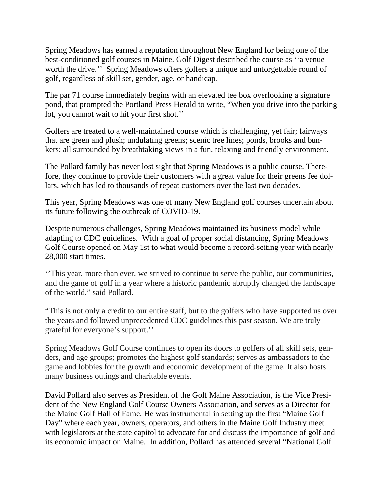Spring Meadows has earned a reputation throughout New England for being one of the best-conditioned golf courses in Maine. Golf Digest described the course as ''a venue worth the drive." Spring Meadows offers golfers a unique and unforgettable round of golf, regardless of skill set, gender, age, or handicap.

The par 71 course immediately begins with an elevated tee box overlooking a signature pond, that prompted the Portland Press Herald to write, "When you drive into the parking lot, you cannot wait to hit your first shot.''

Golfers are treated to a well-maintained course which is challenging, yet fair; fairways that are green and plush; undulating greens; scenic tree lines; ponds, brooks and bunkers; all surrounded by breathtaking views in a fun, relaxing and friendly environment.

The Pollard family has never lost sight that Spring Meadows is a public course. Therefore, they continue to provide their customers with a great value for their greens fee dollars, which has led to thousands of repeat customers over the last two decades.

This year, Spring Meadows was one of many New England golf courses uncertain about its future following the outbreak of COVID-19.

Despite numerous challenges, Spring Meadows maintained its business model while adapting to CDC guidelines. With a goal of proper social distancing, Spring Meadows Golf Course opened on May 1st to what would become a record-setting year with nearly 28,000 start times.

''This year, more than ever, we strived to continue to serve the public, our communities, and the game of golf in a year where a historic pandemic abruptly changed the landscape of the world," said Pollard.

"This is not only a credit to our entire staff, but to the golfers who have supported us over the years and followed unprecedented CDC guidelines this past season. We are truly grateful for everyone's support.''

Spring Meadows Golf Course continues to open its doors to golfers of all skill sets, genders, and age groups; promotes the highest golf standards; serves as ambassadors to the game and lobbies for the growth and economic development of the game. It also hosts many business outings and charitable events.

David Pollard also serves as President of the Golf Maine Association, is the Vice President of the New England Golf Course Owners Association, and serves as a Director for the Maine Golf Hall of Fame. He was instrumental in setting up the first "Maine Golf Day" where each year, owners, operators, and others in the Maine Golf Industry meet with legislators at the state capitol to advocate for and discuss the importance of golf and its economic impact on Maine. In addition, Pollard has attended several "National Golf